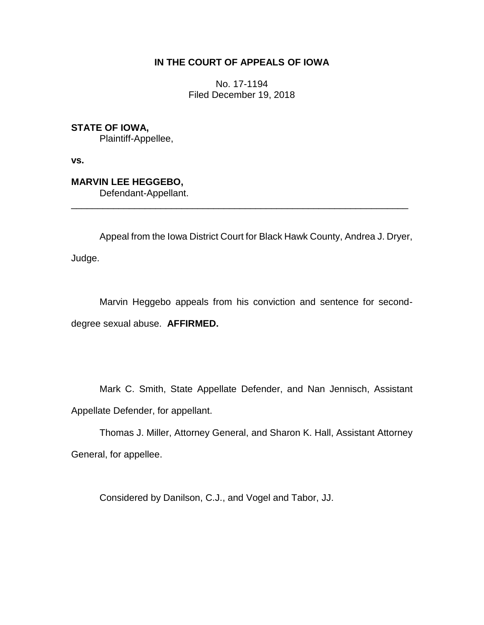# **IN THE COURT OF APPEALS OF IOWA**

No. 17-1194 Filed December 19, 2018

**STATE OF IOWA,** Plaintiff-Appellee,

**vs.**

**MARVIN LEE HEGGEBO,**

Defendant-Appellant.

Appeal from the Iowa District Court for Black Hawk County, Andrea J. Dryer,

\_\_\_\_\_\_\_\_\_\_\_\_\_\_\_\_\_\_\_\_\_\_\_\_\_\_\_\_\_\_\_\_\_\_\_\_\_\_\_\_\_\_\_\_\_\_\_\_\_\_\_\_\_\_\_\_\_\_\_\_\_\_\_\_

Judge.

Marvin Heggebo appeals from his conviction and sentence for seconddegree sexual abuse. **AFFIRMED.**

Mark C. Smith, State Appellate Defender, and Nan Jennisch, Assistant Appellate Defender, for appellant.

Thomas J. Miller, Attorney General, and Sharon K. Hall, Assistant Attorney General, for appellee.

Considered by Danilson, C.J., and Vogel and Tabor, JJ.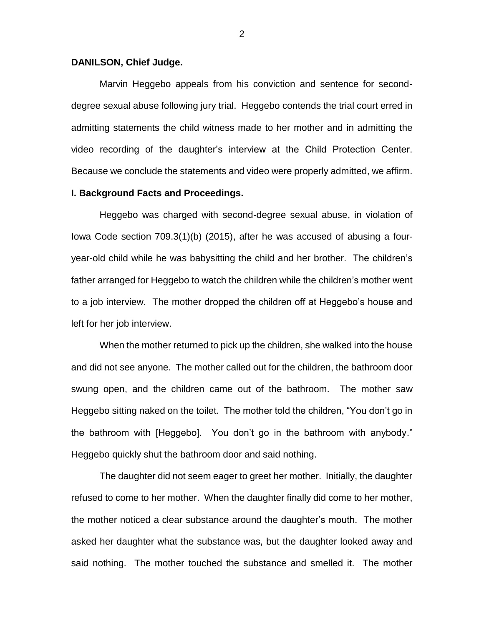### **DANILSON, Chief Judge.**

Marvin Heggebo appeals from his conviction and sentence for seconddegree sexual abuse following jury trial. Heggebo contends the trial court erred in admitting statements the child witness made to her mother and in admitting the video recording of the daughter's interview at the Child Protection Center. Because we conclude the statements and video were properly admitted, we affirm.

### **I. Background Facts and Proceedings.**

Heggebo was charged with second-degree sexual abuse, in violation of Iowa Code section 709.3(1)(b) (2015), after he was accused of abusing a fouryear-old child while he was babysitting the child and her brother. The children's father arranged for Heggebo to watch the children while the children's mother went to a job interview. The mother dropped the children off at Heggebo's house and left for her job interview.

When the mother returned to pick up the children, she walked into the house and did not see anyone. The mother called out for the children, the bathroom door swung open, and the children came out of the bathroom. The mother saw Heggebo sitting naked on the toilet. The mother told the children, "You don't go in the bathroom with [Heggebo]. You don't go in the bathroom with anybody." Heggebo quickly shut the bathroom door and said nothing.

The daughter did not seem eager to greet her mother. Initially, the daughter refused to come to her mother. When the daughter finally did come to her mother, the mother noticed a clear substance around the daughter's mouth. The mother asked her daughter what the substance was, but the daughter looked away and said nothing. The mother touched the substance and smelled it. The mother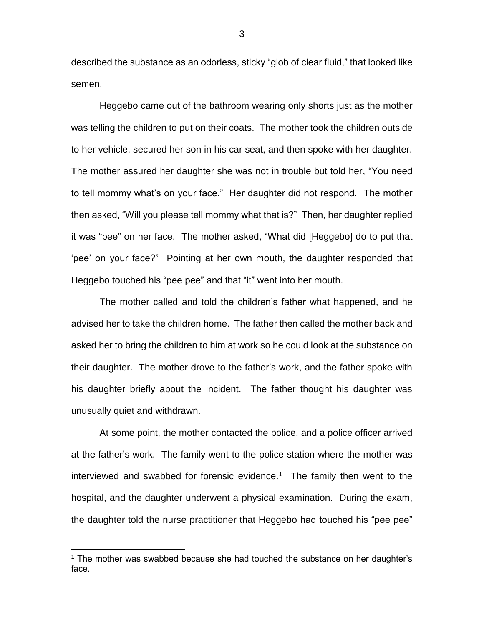described the substance as an odorless, sticky "glob of clear fluid," that looked like semen.

Heggebo came out of the bathroom wearing only shorts just as the mother was telling the children to put on their coats. The mother took the children outside to her vehicle, secured her son in his car seat, and then spoke with her daughter. The mother assured her daughter she was not in trouble but told her, "You need to tell mommy what's on your face." Her daughter did not respond. The mother then asked, "Will you please tell mommy what that is?" Then, her daughter replied it was "pee" on her face. The mother asked, "What did [Heggebo] do to put that 'pee' on your face?" Pointing at her own mouth, the daughter responded that Heggebo touched his "pee pee" and that "it" went into her mouth.

The mother called and told the children's father what happened, and he advised her to take the children home. The father then called the mother back and asked her to bring the children to him at work so he could look at the substance on their daughter. The mother drove to the father's work, and the father spoke with his daughter briefly about the incident. The father thought his daughter was unusually quiet and withdrawn.

At some point, the mother contacted the police, and a police officer arrived at the father's work. The family went to the police station where the mother was interviewed and swabbed for forensic evidence.<sup>1</sup> The family then went to the hospital, and the daughter underwent a physical examination. During the exam, the daughter told the nurse practitioner that Heggebo had touched his "pee pee"

 $\overline{a}$ 

<sup>1</sup> The mother was swabbed because she had touched the substance on her daughter's face.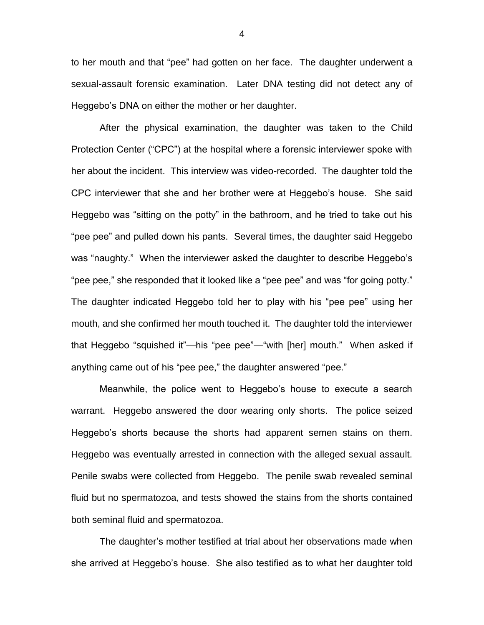to her mouth and that "pee" had gotten on her face. The daughter underwent a sexual-assault forensic examination. Later DNA testing did not detect any of Heggebo's DNA on either the mother or her daughter.

After the physical examination, the daughter was taken to the Child Protection Center ("CPC") at the hospital where a forensic interviewer spoke with her about the incident. This interview was video-recorded. The daughter told the CPC interviewer that she and her brother were at Heggebo's house. She said Heggebo was "sitting on the potty" in the bathroom, and he tried to take out his "pee pee" and pulled down his pants. Several times, the daughter said Heggebo was "naughty." When the interviewer asked the daughter to describe Heggebo's "pee pee," she responded that it looked like a "pee pee" and was "for going potty." The daughter indicated Heggebo told her to play with his "pee pee" using her mouth, and she confirmed her mouth touched it. The daughter told the interviewer that Heggebo "squished it"—his "pee pee"—"with [her] mouth." When asked if anything came out of his "pee pee," the daughter answered "pee."

Meanwhile, the police went to Heggebo's house to execute a search warrant. Heggebo answered the door wearing only shorts. The police seized Heggebo's shorts because the shorts had apparent semen stains on them. Heggebo was eventually arrested in connection with the alleged sexual assault. Penile swabs were collected from Heggebo. The penile swab revealed seminal fluid but no spermatozoa, and tests showed the stains from the shorts contained both seminal fluid and spermatozoa.

The daughter's mother testified at trial about her observations made when she arrived at Heggebo's house. She also testified as to what her daughter told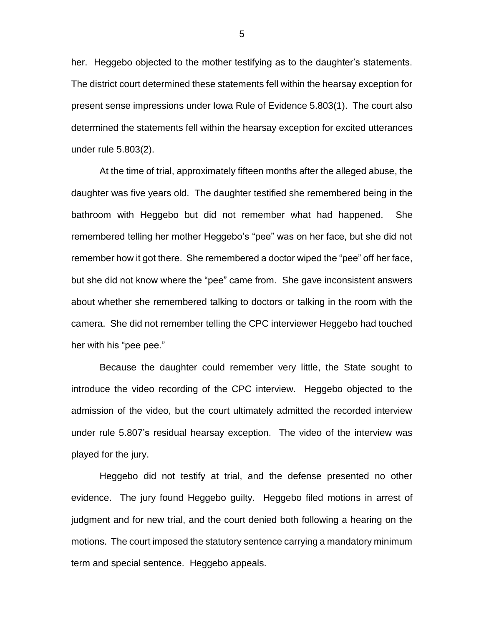her. Heggebo objected to the mother testifying as to the daughter's statements. The district court determined these statements fell within the hearsay exception for present sense impressions under Iowa Rule of Evidence 5.803(1). The court also determined the statements fell within the hearsay exception for excited utterances under rule 5.803(2).

At the time of trial, approximately fifteen months after the alleged abuse, the daughter was five years old. The daughter testified she remembered being in the bathroom with Heggebo but did not remember what had happened. She remembered telling her mother Heggebo's "pee" was on her face, but she did not remember how it got there. She remembered a doctor wiped the "pee" off her face, but she did not know where the "pee" came from. She gave inconsistent answers about whether she remembered talking to doctors or talking in the room with the camera. She did not remember telling the CPC interviewer Heggebo had touched her with his "pee pee."

Because the daughter could remember very little, the State sought to introduce the video recording of the CPC interview. Heggebo objected to the admission of the video, but the court ultimately admitted the recorded interview under rule 5.807's residual hearsay exception. The video of the interview was played for the jury.

Heggebo did not testify at trial, and the defense presented no other evidence. The jury found Heggebo guilty. Heggebo filed motions in arrest of judgment and for new trial, and the court denied both following a hearing on the motions. The court imposed the statutory sentence carrying a mandatory minimum term and special sentence. Heggebo appeals.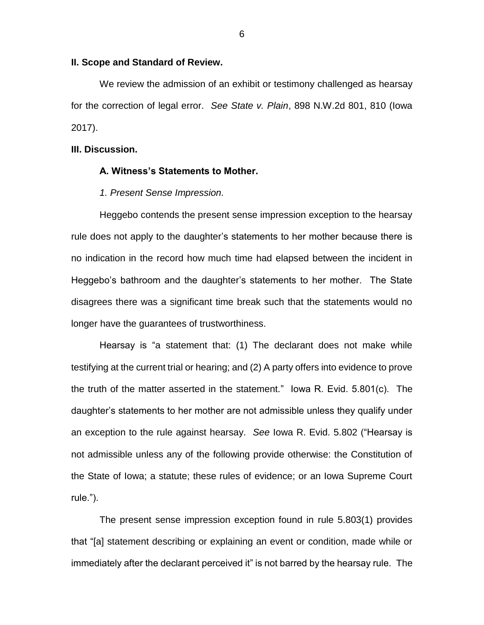### **II. Scope and Standard of Review.**

We review the admission of an exhibit or testimony challenged as hearsay for the correction of legal error. *See State v. Plain*, 898 N.W.2d 801, 810 (Iowa 2017).

## **III. Discussion.**

#### **A. Witness's Statements to Mother.**

*1. Present Sense Impression.*

Heggebo contends the present sense impression exception to the hearsay rule does not apply to the daughter's statements to her mother because there is no indication in the record how much time had elapsed between the incident in Heggebo's bathroom and the daughter's statements to her mother. The State disagrees there was a significant time break such that the statements would no longer have the guarantees of trustworthiness.

Hearsay is "a statement that: (1) The declarant does not make while testifying at the current trial or hearing; and (2) A party offers into evidence to prove the truth of the matter asserted in the statement." Iowa R. Evid. 5.801(c). The daughter's statements to her mother are not admissible unless they qualify under an exception to the rule against hearsay. *See* Iowa R. Evid. 5.802 ("Hearsay is not admissible unless any of the following provide otherwise: the Constitution of the State of Iowa; a statute; these rules of evidence; or an Iowa Supreme Court rule.").

The present sense impression exception found in rule 5.803(1) provides that "[a] statement describing or explaining an event or condition, made while or immediately after the declarant perceived it" is not barred by the hearsay rule. The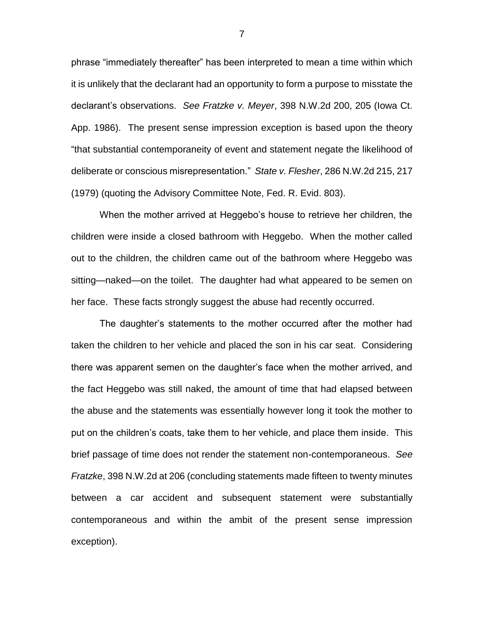phrase "immediately thereafter" has been interpreted to mean a time within which it is unlikely that the declarant had an opportunity to form a purpose to misstate the declarant's observations. *See Fratzke v. Meyer*, 398 N.W.2d 200, 205 (Iowa Ct. App. 1986). The present sense impression exception is based upon the theory "that substantial contemporaneity of event and statement negate the likelihood of deliberate or conscious misrepresentation." *State v. Flesher*, 286 N.W.2d 215, 217 (1979) (quoting the Advisory Committee Note, Fed. R. Evid. 803).

When the mother arrived at Heggebo's house to retrieve her children, the children were inside a closed bathroom with Heggebo. When the mother called out to the children, the children came out of the bathroom where Heggebo was sitting—naked—on the toilet. The daughter had what appeared to be semen on her face. These facts strongly suggest the abuse had recently occurred.

The daughter's statements to the mother occurred after the mother had taken the children to her vehicle and placed the son in his car seat. Considering there was apparent semen on the daughter's face when the mother arrived, and the fact Heggebo was still naked, the amount of time that had elapsed between the abuse and the statements was essentially however long it took the mother to put on the children's coats, take them to her vehicle, and place them inside. This brief passage of time does not render the statement non-contemporaneous. *See Fratzke*, 398 N.W.2d at 206 (concluding statements made fifteen to twenty minutes between a car accident and subsequent statement were substantially contemporaneous and within the ambit of the present sense impression exception).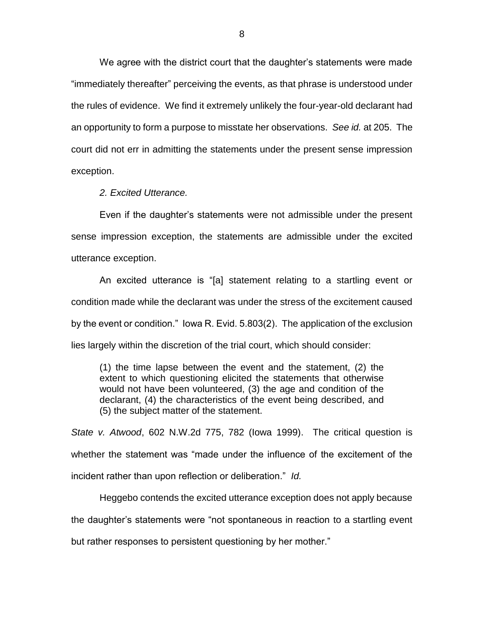We agree with the district court that the daughter's statements were made "immediately thereafter" perceiving the events, as that phrase is understood under the rules of evidence. We find it extremely unlikely the four-year-old declarant had an opportunity to form a purpose to misstate her observations. *See id.* at 205. The court did not err in admitting the statements under the present sense impression exception.

*2. Excited Utterance.*

Even if the daughter's statements were not admissible under the present sense impression exception, the statements are admissible under the excited utterance exception.

An excited utterance is "[a] statement relating to a startling event or condition made while the declarant was under the stress of the excitement caused by the event or condition." Iowa R. Evid. 5.803(2). The application of the exclusion lies largely within the discretion of the trial court, which should consider:

(1) the time lapse between the event and the statement, (2) the extent to which questioning elicited the statements that otherwise would not have been volunteered, (3) the age and condition of the declarant, (4) the characteristics of the event being described, and (5) the subject matter of the statement.

*State v. Atwood*, 602 N.W.2d 775, 782 (Iowa 1999). The critical question is whether the statement was "made under the influence of the excitement of the incident rather than upon reflection or deliberation." *Id.*

Heggebo contends the excited utterance exception does not apply because the daughter's statements were "not spontaneous in reaction to a startling event but rather responses to persistent questioning by her mother."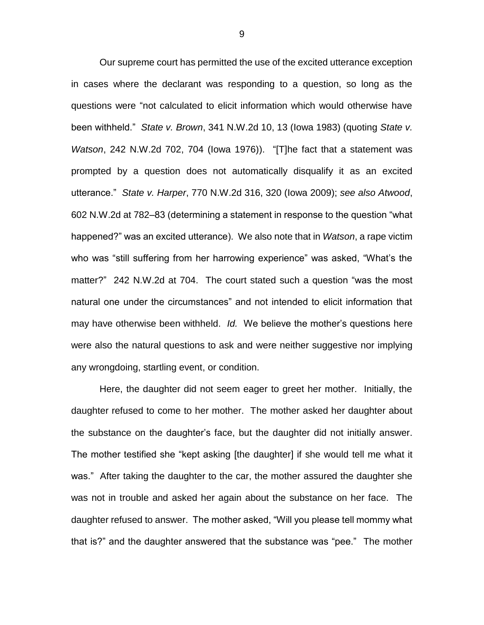Our supreme court has permitted the use of the excited utterance exception in cases where the declarant was responding to a question, so long as the questions were "not calculated to elicit information which would otherwise have been withheld." *State v. Brown*, 341 N.W.2d 10, 13 (Iowa 1983) (quoting *State v. Watson*, 242 N.W.2d 702, 704 (Iowa 1976)). "[T]he fact that a statement was prompted by a question does not automatically disqualify it as an excited utterance." *State v. Harper*, 770 N.W.2d 316, 320 (Iowa 2009); *see also Atwood*, 602 N.W.2d at 782–83 (determining a statement in response to the question "what happened?" was an excited utterance). We also note that in *Watson*, a rape victim who was "still suffering from her harrowing experience" was asked, "What's the matter?" 242 N.W.2d at 704. The court stated such a question "was the most natural one under the circumstances" and not intended to elicit information that may have otherwise been withheld. *Id.* We believe the mother's questions here were also the natural questions to ask and were neither suggestive nor implying any wrongdoing, startling event, or condition.

Here, the daughter did not seem eager to greet her mother. Initially, the daughter refused to come to her mother. The mother asked her daughter about the substance on the daughter's face, but the daughter did not initially answer. The mother testified she "kept asking [the daughter] if she would tell me what it was." After taking the daughter to the car, the mother assured the daughter she was not in trouble and asked her again about the substance on her face. The daughter refused to answer. The mother asked, "Will you please tell mommy what that is?" and the daughter answered that the substance was "pee." The mother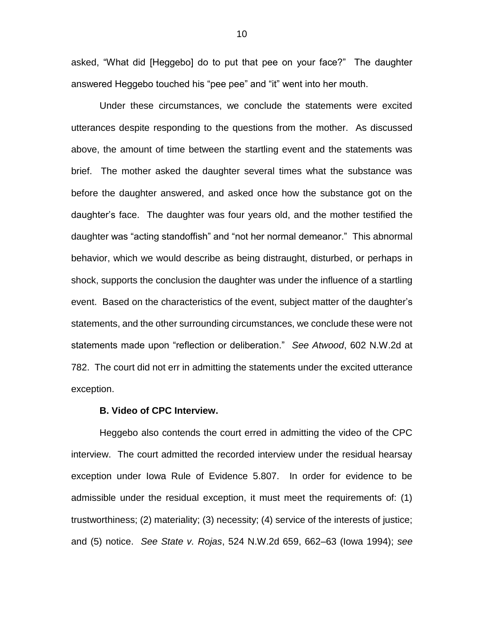asked, "What did [Heggebo] do to put that pee on your face?" The daughter answered Heggebo touched his "pee pee" and "it" went into her mouth.

Under these circumstances, we conclude the statements were excited utterances despite responding to the questions from the mother. As discussed above, the amount of time between the startling event and the statements was brief. The mother asked the daughter several times what the substance was before the daughter answered, and asked once how the substance got on the daughter's face. The daughter was four years old, and the mother testified the daughter was "acting standoffish" and "not her normal demeanor." This abnormal behavior, which we would describe as being distraught, disturbed, or perhaps in shock, supports the conclusion the daughter was under the influence of a startling event. Based on the characteristics of the event, subject matter of the daughter's statements, and the other surrounding circumstances, we conclude these were not statements made upon "reflection or deliberation." *See Atwood*, 602 N.W.2d at 782. The court did not err in admitting the statements under the excited utterance exception.

#### **B. Video of CPC Interview.**

Heggebo also contends the court erred in admitting the video of the CPC interview. The court admitted the recorded interview under the residual hearsay exception under Iowa Rule of Evidence 5.807. In order for evidence to be admissible under the residual exception, it must meet the requirements of: (1) trustworthiness; (2) materiality; (3) necessity; (4) service of the interests of justice; and (5) notice. *See State v. Rojas*, 524 N.W.2d 659, 662–63 (Iowa 1994); *see*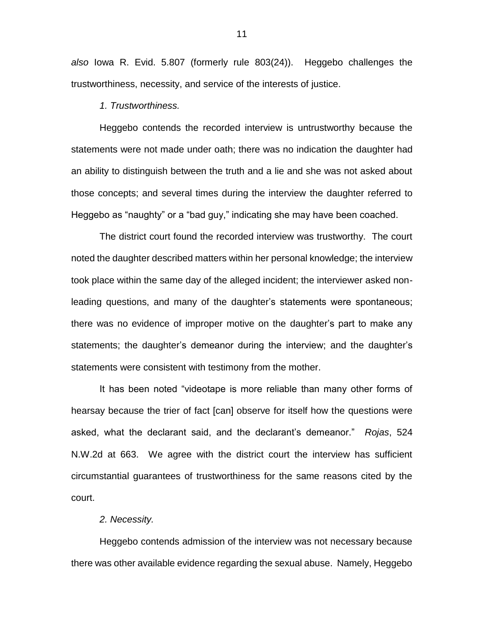*also* Iowa R. Evid. 5.807 (formerly rule 803(24)). Heggebo challenges the trustworthiness, necessity, and service of the interests of justice.

## *1. Trustworthiness.*

Heggebo contends the recorded interview is untrustworthy because the statements were not made under oath; there was no indication the daughter had an ability to distinguish between the truth and a lie and she was not asked about those concepts; and several times during the interview the daughter referred to Heggebo as "naughty" or a "bad guy," indicating she may have been coached.

The district court found the recorded interview was trustworthy. The court noted the daughter described matters within her personal knowledge; the interview took place within the same day of the alleged incident; the interviewer asked nonleading questions, and many of the daughter's statements were spontaneous; there was no evidence of improper motive on the daughter's part to make any statements; the daughter's demeanor during the interview; and the daughter's statements were consistent with testimony from the mother.

It has been noted "videotape is more reliable than many other forms of hearsay because the trier of fact [can] observe for itself how the questions were asked, what the declarant said, and the declarant's demeanor." *Rojas*, 524 N.W.2d at 663. We agree with the district court the interview has sufficient circumstantial guarantees of trustworthiness for the same reasons cited by the court.

#### *2. Necessity.*

Heggebo contends admission of the interview was not necessary because there was other available evidence regarding the sexual abuse. Namely, Heggebo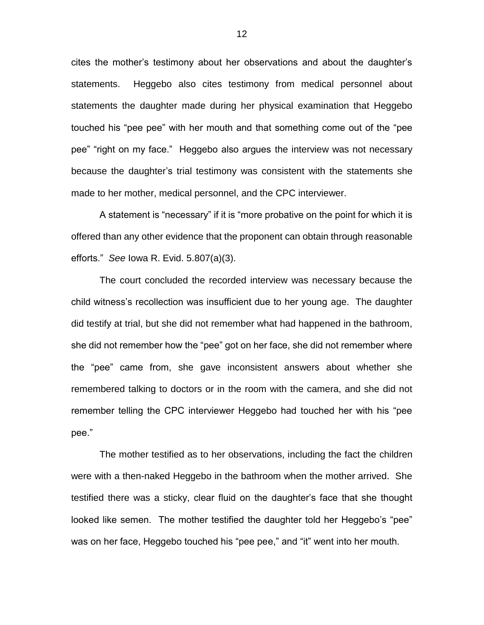cites the mother's testimony about her observations and about the daughter's statements. Heggebo also cites testimony from medical personnel about statements the daughter made during her physical examination that Heggebo touched his "pee pee" with her mouth and that something come out of the "pee pee" "right on my face." Heggebo also argues the interview was not necessary because the daughter's trial testimony was consistent with the statements she made to her mother, medical personnel, and the CPC interviewer.

A statement is "necessary" if it is "more probative on the point for which it is offered than any other evidence that the proponent can obtain through reasonable efforts." *See* Iowa R. Evid. 5.807(a)(3).

The court concluded the recorded interview was necessary because the child witness's recollection was insufficient due to her young age. The daughter did testify at trial, but she did not remember what had happened in the bathroom, she did not remember how the "pee" got on her face, she did not remember where the "pee" came from, she gave inconsistent answers about whether she remembered talking to doctors or in the room with the camera, and she did not remember telling the CPC interviewer Heggebo had touched her with his "pee pee."

The mother testified as to her observations, including the fact the children were with a then-naked Heggebo in the bathroom when the mother arrived. She testified there was a sticky, clear fluid on the daughter's face that she thought looked like semen. The mother testified the daughter told her Heggebo's "pee" was on her face, Heggebo touched his "pee pee," and "it" went into her mouth.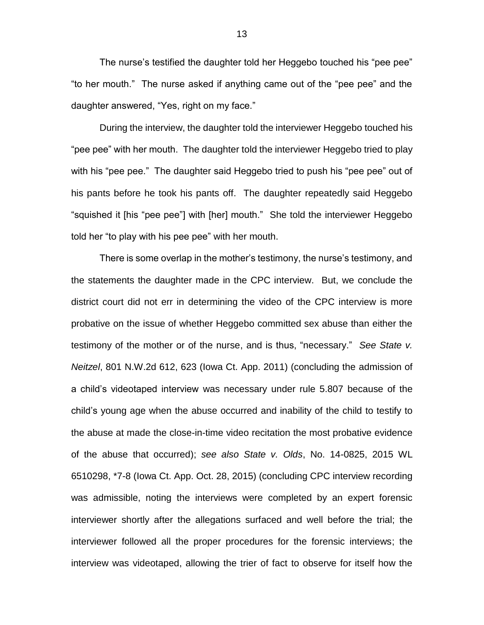The nurse's testified the daughter told her Heggebo touched his "pee pee" "to her mouth." The nurse asked if anything came out of the "pee pee" and the daughter answered, "Yes, right on my face."

During the interview, the daughter told the interviewer Heggebo touched his "pee pee" with her mouth. The daughter told the interviewer Heggebo tried to play with his "pee pee." The daughter said Heggebo tried to push his "pee pee" out of his pants before he took his pants off. The daughter repeatedly said Heggebo "squished it [his "pee pee"] with [her] mouth." She told the interviewer Heggebo told her "to play with his pee pee" with her mouth.

There is some overlap in the mother's testimony, the nurse's testimony, and the statements the daughter made in the CPC interview. But, we conclude the district court did not err in determining the video of the CPC interview is more probative on the issue of whether Heggebo committed sex abuse than either the testimony of the mother or of the nurse, and is thus, "necessary." *See State v. Neitzel*, 801 N.W.2d 612, 623 (Iowa Ct. App. 2011) (concluding the admission of a child's videotaped interview was necessary under rule 5.807 because of the child's young age when the abuse occurred and inability of the child to testify to the abuse at made the close-in-time video recitation the most probative evidence of the abuse that occurred); *see also State v. Olds*, No. 14-0825, 2015 WL 6510298, \*7-8 (Iowa Ct. App. Oct. 28, 2015) (concluding CPC interview recording was admissible, noting the interviews were completed by an expert forensic interviewer shortly after the allegations surfaced and well before the trial; the interviewer followed all the proper procedures for the forensic interviews; the interview was videotaped, allowing the trier of fact to observe for itself how the